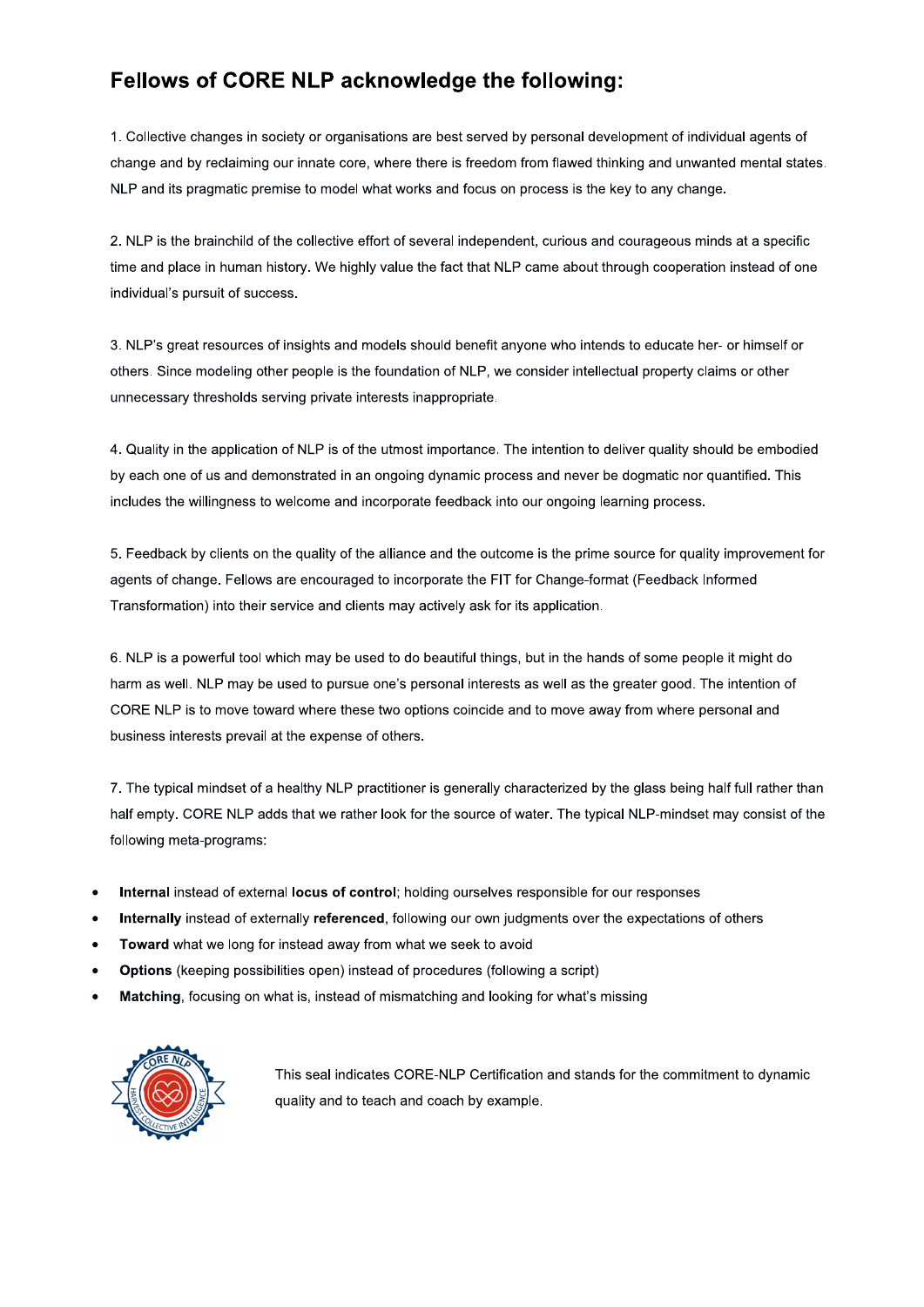## Fellows of CORE NLP acknowledge the following:

1. Collective changes in society or organisations are best served by personal development of individual agents of change and by reclaiming our innate core, where there is freedom from flawed thinking and unwanted mental states. NLP and its pragmatic premise to model what works and focus on process is the key to any change.

2. NLP is the brainchild of the collective effort of several independent, curious and courageous minds at a specific time and place in human history. We highly value the fact that NLP came about through cooperation instead of one individual's pursuit of success.

3. NLP's great resources of insights and models should benefit anyone who intends to educate her- or himself or others. Since modeling other people is the foundation of NLP, we consider intellectual property claims or other unnecessary thresholds serving private interests inappropriate.

4. Quality in the application of NLP is of the utmost importance. The intention to deliver quality should be embodied by each one of us and demonstrated in an ongoing dynamic process and never be dogmatic nor quantified. This includes the willingness to welcome and incorporate feedback into our ongoing learning process.

5. Feedback by clients on the quality of the alliance and the outcome is the prime source for quality improvement for agents of change. Fellows are encouraged to incorporate the FIT for Change-format (Feedback Informed Transformation) into their service and clients may actively ask for its application.

6. NLP is a powerful tool which may be used to do beautiful things, but in the hands of some people it might do harm as well. NLP may be used to pursue one's personal interests as well as the greater good. The intention of CORE NLP is to move toward where these two options coincide and to move away from where personal and business interests prevail at the expense of others.

7. The typical mindset of a healthy NLP practitioner is generally characterized by the glass being half full rather than half empty. CORE NLP adds that we rather look for the source of water. The typical NLP-mindset may consist of the following meta-programs:

- Internal instead of external locus of control; holding ourselves responsible for our responses
- Internally instead of externally referenced, following our own judgments over the expectations of others
- Toward what we long for instead away from what we seek to avoid  $\bullet$
- Options (keeping possibilities open) instead of procedures (following a script)  $\bullet$
- Matching, focusing on what is, instead of mismatching and looking for what's missing  $\bullet$



This seal indicates CORE-NLP Certification and stands for the commitment to dynamic quality and to teach and coach by example.